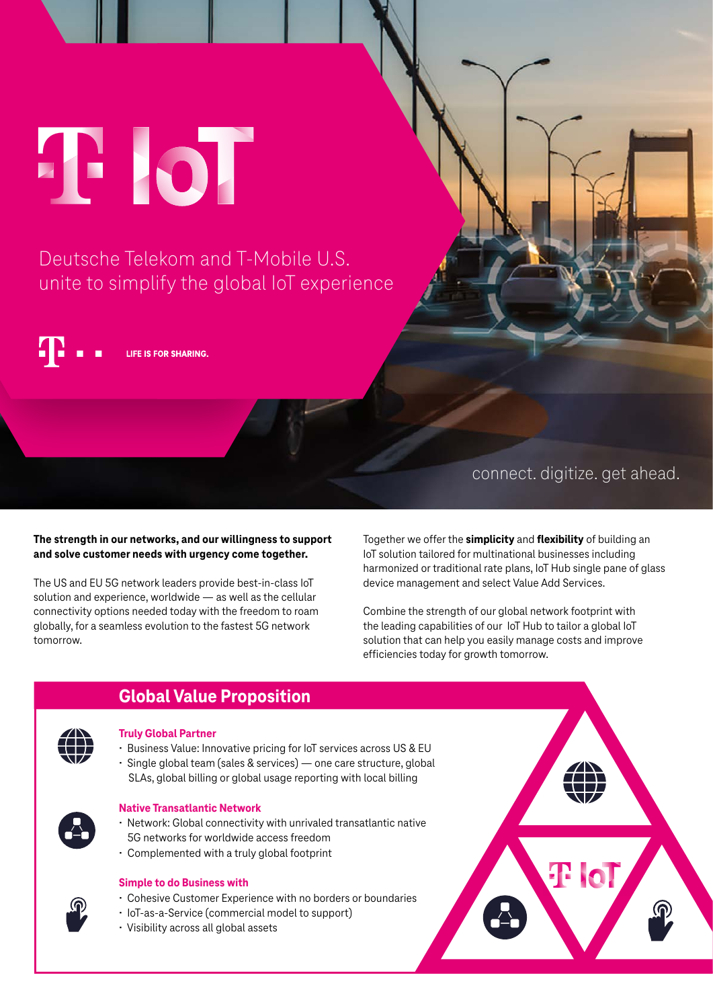T IoT

Deutsche Telekom and T-Mobile U.S. unite to simplify the global IoT experience

LIFE IS FOR SHARING.

# connect. digitize. get ahead.

## **The strength in our networks, and our willingness to support and solve customer needs with urgency come together.**

The US and EU 5G network leaders provide best-in-class IoT solution and experience, worldwide — as well as the cellular connectivity options needed today with the freedom to roam globally, for a seamless evolution to the fastest 5G network tomorrow.

Together we offer the **simplicity** and **flexibility** of building an IoT solution tailored for multinational businesses including harmonized or traditional rate plans, IoT Hub single pane of glass device management and select Value Add Services.

Combine the strength of our global network footprint with the leading capabilities of our IoT Hub to tailor a global IoT solution that can help you easily manage costs and improve efficiencies today for growth tomorrow.



ĺ

- **Truly Global Partner**
- Business Value: Innovative pricing for IoT services across US & EU • Single global team (sales & services) — one care structure, global
- SLAs, global billing or global usage reporting with local billing



## **Native Transatlantic Network**

- Network: Global connectivity with unrivaled transatlantic native 5G networks for worldwide access freedom
- Complemented with a truly global footprint

**Global Value Proposition**

## **Simple to do Business with**

- Cohesive Customer Experience with no borders or boundaries
- IoT-as-a-Service (commercial model to support)
- Visibility across all global assets